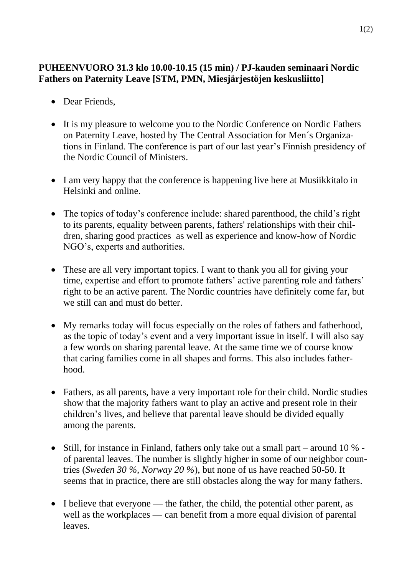## **PUHEENVUORO 31.3 klo 10.00-10.15 (15 min) / PJ-kauden seminaari Nordic Fathers on Paternity Leave [STM, PMN, Miesjärjestöjen keskusliitto]**

- Dear Friends.
- It is my pleasure to welcome you to the Nordic Conference on Nordic Fathers on Paternity Leave, hosted by The Central Association for Men´s Organizations in Finland. The conference is part of our last year's Finnish presidency of the Nordic Council of Ministers.
- I am very happy that the conference is happening live here at Musiikkitalo in Helsinki and online.
- The topics of today's conference include: shared parenthood, the child's right to its parents, equality between parents, fathers' relationships with their children, sharing good practices as well as experience and know-how of Nordic NGO's, experts and authorities.
- These are all very important topics. I want to thank you all for giving your time, expertise and effort to promote fathers' active parenting role and fathers' right to be an active parent. The Nordic countries have definitely come far, but we still can and must do better.
- My remarks today will focus especially on the roles of fathers and fatherhood, as the topic of today's event and a very important issue in itself. I will also say a few words on sharing parental leave. At the same time we of course know that caring families come in all shapes and forms. This also includes fatherhood.
- Fathers, as all parents, have a very important role for their child. Nordic studies show that the majority fathers want to play an active and present role in their children's lives, and believe that parental leave should be divided equally among the parents.
- Still, for instance in Finland, fathers only take out a small part around 10 % of parental leaves. The number is slightly higher in some of our neighbor countries (*Sweden 30 %, Norway 20 %*), but none of us have reached 50-50. It seems that in practice, there are still obstacles along the way for many fathers.
- I believe that everyone the father, the child, the potential other parent, as well as the workplaces — can benefit from a more equal division of parental leaves.